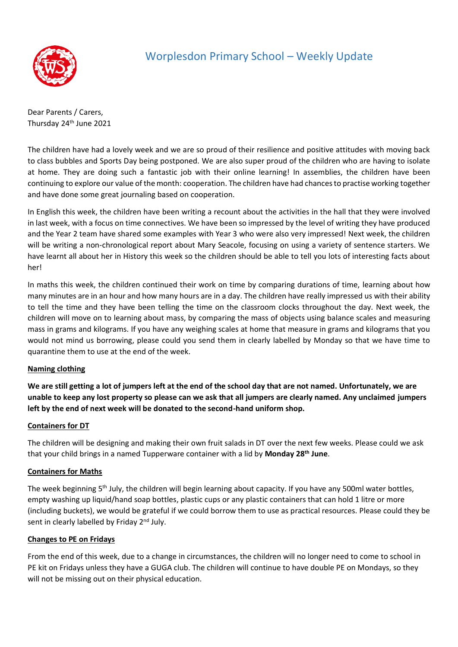

## Worplesdon Primary School – Weekly Update

Dear Parents / Carers, Thursday 24<sup>th</sup> June 2021

The children have had a lovely week and we are so proud of their resilience and positive attitudes with moving back to class bubbles and Sports Day being postponed. We are also super proud of the children who are having to isolate at home. They are doing such a fantastic job with their online learning! In assemblies, the children have been continuing to explore our value of the month: cooperation. The children have had chances to practise working together and have done some great journaling based on cooperation.

In English this week, the children have been writing a recount about the activities in the hall that they were involved in last week, with a focus on time connectives. We have been so impressed by the level of writing they have produced and the Year 2 team have shared some examples with Year 3 who were also very impressed! Next week, the children will be writing a non-chronological report about Mary Seacole, focusing on using a variety of sentence starters. We have learnt all about her in History this week so the children should be able to tell you lots of interesting facts about her!

In maths this week, the children continued their work on time by comparing durations of time, learning about how many minutes are in an hour and how many hours are in a day. The children have really impressed us with their ability to tell the time and they have been telling the time on the classroom clocks throughout the day. Next week, the children will move on to learning about mass, by comparing the mass of objects using balance scales and measuring mass in grams and kilograms. If you have any weighing scales at home that measure in grams and kilograms that you would not mind us borrowing, please could you send them in clearly labelled by Monday so that we have time to quarantine them to use at the end of the week.

#### **Naming clothing**

**We are still getting a lot of jumpers left at the end of the school day that are not named. Unfortunately, we are unable to keep any lost property so please can we ask that all jumpers are clearly named. Any unclaimed jumpers left by the end of next week will be donated to the second-hand uniform shop.**

#### **Containers for DT**

The children will be designing and making their own fruit salads in DT over the next few weeks. Please could we ask that your child brings in a named Tupperware container with a lid by **Monday 28th June**.

#### **Containers for Maths**

The week beginning 5<sup>th</sup> July, the children will begin learning about capacity. If you have any 500ml water bottles, empty washing up liquid/hand soap bottles, plastic cups or any plastic containers that can hold 1 litre or more (including buckets), we would be grateful if we could borrow them to use as practical resources. Please could they be sent in clearly labelled by Friday 2<sup>nd</sup> July.

#### **Changes to PE on Fridays**

From the end of this week, due to a change in circumstances, the children will no longer need to come to school in PE kit on Fridays unless they have a GUGA club. The children will continue to have double PE on Mondays, so they will not be missing out on their physical education.